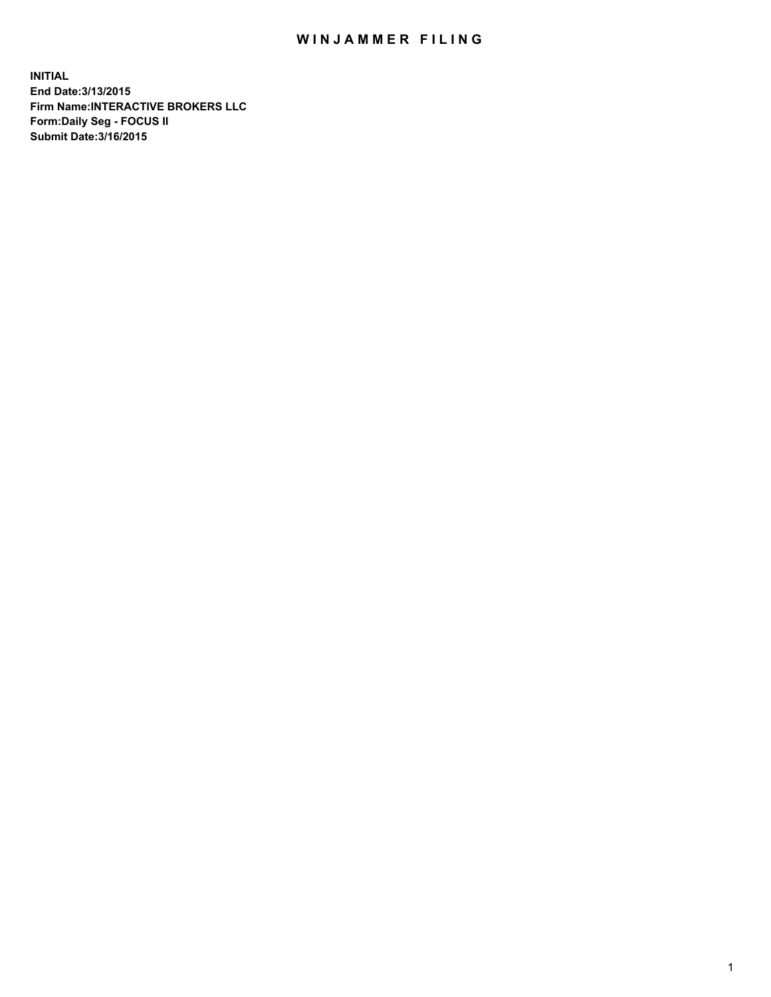## WIN JAMMER FILING

**INITIAL End Date:3/13/2015 Firm Name:INTERACTIVE BROKERS LLC Form:Daily Seg - FOCUS II Submit Date:3/16/2015**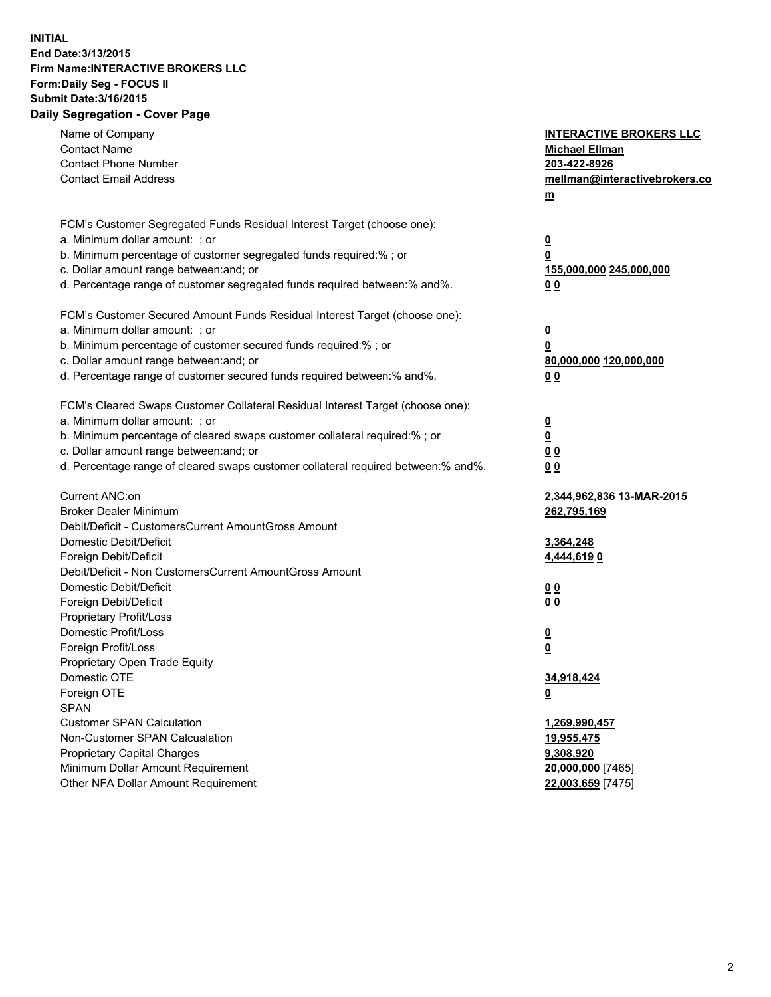## **INITIAL End Date:3/13/2015 Firm Name:INTERACTIVE BROKERS LLC Form:Daily Seg - FOCUS II Submit Date:3/16/2015 Daily Segregation - Cover Page**

| Name of Company<br><b>Contact Name</b><br><b>Contact Phone Number</b><br><b>Contact Email Address</b> | <b>INTERACTIVE BROKERS LLC</b><br><b>Michael Ellman</b><br>203-422-8926<br>mellman@interactivebrokers.co |
|-------------------------------------------------------------------------------------------------------|----------------------------------------------------------------------------------------------------------|
|                                                                                                       | $m$                                                                                                      |
| FCM's Customer Segregated Funds Residual Interest Target (choose one):                                |                                                                                                          |
| a. Minimum dollar amount: ; or                                                                        | <u>0</u>                                                                                                 |
| b. Minimum percentage of customer segregated funds required:% ; or                                    | <u>0</u>                                                                                                 |
| c. Dollar amount range between: and; or                                                               | 155,000,000 245,000,000                                                                                  |
| d. Percentage range of customer segregated funds required between:% and%.                             | 0 <sub>0</sub>                                                                                           |
| FCM's Customer Secured Amount Funds Residual Interest Target (choose one):                            |                                                                                                          |
| a. Minimum dollar amount: ; or                                                                        | <u>0</u>                                                                                                 |
| b. Minimum percentage of customer secured funds required:% ; or                                       | 0                                                                                                        |
| c. Dollar amount range between: and; or                                                               | 80,000,000 120,000,000                                                                                   |
| d. Percentage range of customer secured funds required between:% and%.                                | 0 <sub>0</sub>                                                                                           |
| FCM's Cleared Swaps Customer Collateral Residual Interest Target (choose one):                        |                                                                                                          |
| a. Minimum dollar amount: ; or                                                                        | $\overline{\mathbf{0}}$                                                                                  |
| b. Minimum percentage of cleared swaps customer collateral required:% ; or                            | <u>0</u>                                                                                                 |
| c. Dollar amount range between: and; or                                                               | 0 <sub>0</sub>                                                                                           |
| d. Percentage range of cleared swaps customer collateral required between:% and%.                     | 0 <sub>0</sub>                                                                                           |
| Current ANC:on                                                                                        | 2,344,962,836 13-MAR-2015                                                                                |
| <b>Broker Dealer Minimum</b>                                                                          | 262,795,169                                                                                              |
| Debit/Deficit - CustomersCurrent AmountGross Amount                                                   |                                                                                                          |
| Domestic Debit/Deficit                                                                                | 3,364,248                                                                                                |
| Foreign Debit/Deficit                                                                                 | 4,444,6190                                                                                               |
| Debit/Deficit - Non CustomersCurrent AmountGross Amount                                               |                                                                                                          |
| Domestic Debit/Deficit                                                                                | 0 <sub>0</sub>                                                                                           |
| Foreign Debit/Deficit                                                                                 | 0 <sub>0</sub>                                                                                           |
| Proprietary Profit/Loss                                                                               |                                                                                                          |
| Domestic Profit/Loss                                                                                  | $\overline{\mathbf{0}}$                                                                                  |
| Foreign Profit/Loss                                                                                   | $\underline{\mathbf{0}}$                                                                                 |
| Proprietary Open Trade Equity                                                                         |                                                                                                          |
| Domestic OTE                                                                                          | 34,918,424                                                                                               |
| Foreign OTE                                                                                           | <u>0</u>                                                                                                 |
| <b>SPAN</b>                                                                                           |                                                                                                          |
| <b>Customer SPAN Calculation</b>                                                                      | 1,269,990,457                                                                                            |
| Non-Customer SPAN Calcualation                                                                        | <u>19,955,475</u>                                                                                        |
| <b>Proprietary Capital Charges</b>                                                                    | 9,308,920                                                                                                |
| Minimum Dollar Amount Requirement                                                                     | 20,000,000 [7465]                                                                                        |
| Other NFA Dollar Amount Requirement                                                                   | 22,003,659 [7475]                                                                                        |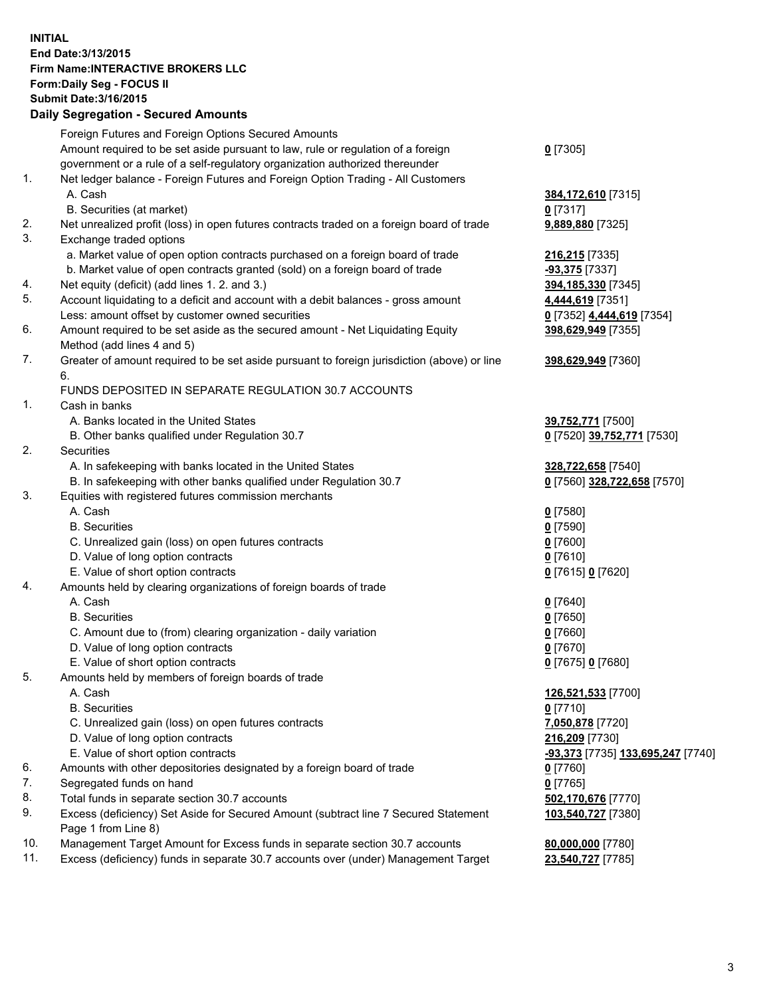## **INITIAL End Date:3/13/2015 Firm Name:INTERACTIVE BROKERS LLC Form:Daily Seg - FOCUS II Submit Date:3/16/2015 Daily Segregation - Secured Amounts**

|     | Daily Ocglegation - Occarea Anioants                                                                       |                                                |
|-----|------------------------------------------------------------------------------------------------------------|------------------------------------------------|
|     | Foreign Futures and Foreign Options Secured Amounts                                                        |                                                |
|     | Amount required to be set aside pursuant to law, rule or regulation of a foreign                           | $0$ [7305]                                     |
|     | government or a rule of a self-regulatory organization authorized thereunder                               |                                                |
| 1.  | Net ledger balance - Foreign Futures and Foreign Option Trading - All Customers                            |                                                |
|     | A. Cash                                                                                                    | 384,172,610 [7315]                             |
|     | B. Securities (at market)                                                                                  | $0$ [7317]                                     |
| 2.  | Net unrealized profit (loss) in open futures contracts traded on a foreign board of trade                  | 9,889,880 [7325]                               |
| 3.  | Exchange traded options                                                                                    |                                                |
|     | a. Market value of open option contracts purchased on a foreign board of trade                             | 216,215 [7335]                                 |
|     | b. Market value of open contracts granted (sold) on a foreign board of trade                               | -93,375 [7337]                                 |
| 4.  | Net equity (deficit) (add lines 1.2. and 3.)                                                               | 394,185,330 [7345]                             |
| 5.  | Account liquidating to a deficit and account with a debit balances - gross amount                          | 4,444,619 [7351]                               |
|     | Less: amount offset by customer owned securities                                                           | 0 [7352] 4,444,619 [7354]                      |
| 6.  | Amount required to be set aside as the secured amount - Net Liquidating Equity                             | 398,629,949 [7355]                             |
|     | Method (add lines 4 and 5)                                                                                 |                                                |
| 7.  | Greater of amount required to be set aside pursuant to foreign jurisdiction (above) or line                | 398,629,949 [7360]                             |
|     | 6.                                                                                                         |                                                |
|     | FUNDS DEPOSITED IN SEPARATE REGULATION 30.7 ACCOUNTS                                                       |                                                |
| 1.  | Cash in banks                                                                                              |                                                |
|     | A. Banks located in the United States                                                                      | 39,752,771 [7500]                              |
|     | B. Other banks qualified under Regulation 30.7                                                             | 0 [7520] 39,752,771 [7530]                     |
| 2.  | Securities                                                                                                 |                                                |
|     | A. In safekeeping with banks located in the United States                                                  | 328,722,658 [7540]                             |
|     | B. In safekeeping with other banks qualified under Regulation 30.7                                         | 0 [7560] 328,722,658 [7570]                    |
| 3.  | Equities with registered futures commission merchants                                                      |                                                |
|     | A. Cash                                                                                                    | $0$ [7580]                                     |
|     | <b>B.</b> Securities                                                                                       | $0$ [7590]                                     |
|     | C. Unrealized gain (loss) on open futures contracts                                                        | $0$ [7600]                                     |
|     | D. Value of long option contracts                                                                          | $0$ [7610]                                     |
|     | E. Value of short option contracts                                                                         | 0 [7615] 0 [7620]                              |
| 4.  | Amounts held by clearing organizations of foreign boards of trade                                          |                                                |
|     | A. Cash                                                                                                    | $0$ [7640]                                     |
|     | <b>B.</b> Securities                                                                                       | $0$ [7650]                                     |
|     | C. Amount due to (from) clearing organization - daily variation                                            | $0$ [7660]                                     |
|     | D. Value of long option contracts                                                                          | $0$ [7670]                                     |
|     | E. Value of short option contracts                                                                         | 0 [7675] 0 [7680]                              |
| 5.  | Amounts held by members of foreign boards of trade                                                         |                                                |
|     | A. Cash                                                                                                    | 126,521,533 [7700]                             |
|     | <b>B.</b> Securities                                                                                       | $0$ [7710]                                     |
|     | C. Unrealized gain (loss) on open futures contracts                                                        | 7,050,878 [7720]                               |
|     | D. Value of long option contracts                                                                          | 216,209 [7730]                                 |
|     | E. Value of short option contracts                                                                         | <mark>-93,373</mark> [7735] 133,695,247 [7740] |
| 6.  | Amounts with other depositories designated by a foreign board of trade                                     | $0$ [7760]                                     |
| 7.  | Segregated funds on hand                                                                                   | $0$ [7765]                                     |
| 8.  | Total funds in separate section 30.7 accounts                                                              | 502,170,676 [7770]                             |
| 9.  | Excess (deficiency) Set Aside for Secured Amount (subtract line 7 Secured Statement<br>Page 1 from Line 8) | 103,540,727 [7380]                             |
| 10. | Management Target Amount for Excess funds in separate section 30.7 accounts                                | 80,000,000 [7780]                              |
| 11. | Excess (deficiency) funds in separate 30.7 accounts over (under) Management Target                         | 23,540,727 [7785]                              |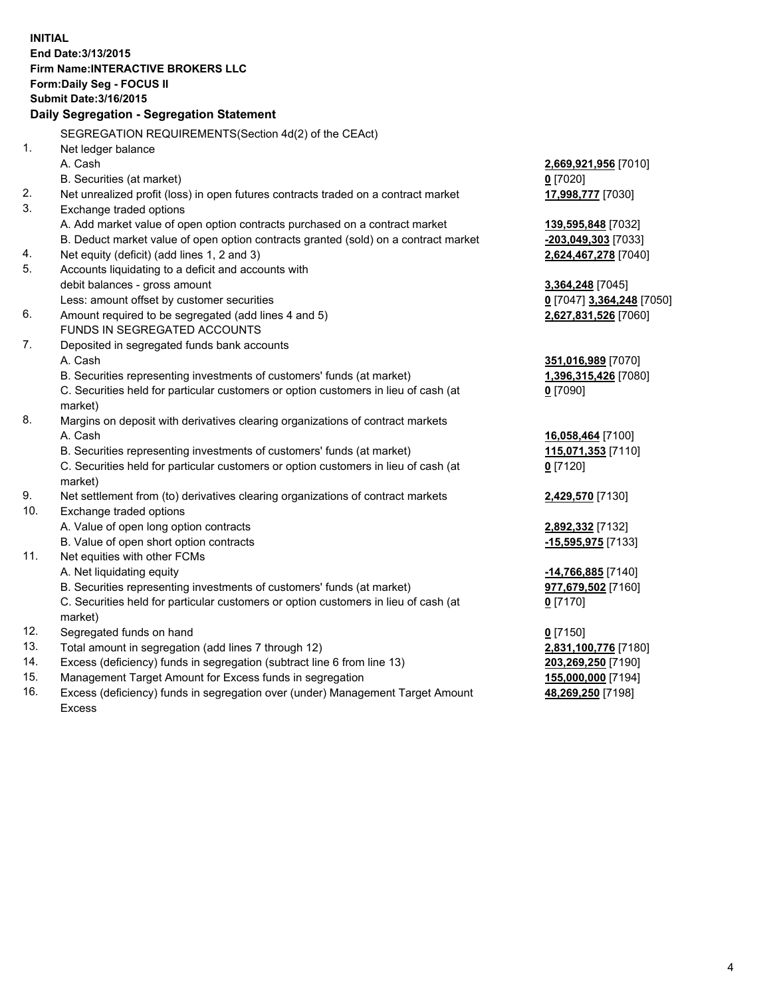**INITIAL End Date:3/13/2015 Firm Name:INTERACTIVE BROKERS LLC Form:Daily Seg - FOCUS II Submit Date:3/16/2015 Daily Segregation - Segregation Statement** SEGREGATION REQUIREMENTS(Section 4d(2) of the CEAct) 1. Net ledger balance A. Cash **2,669,921,956** [7010] B. Securities (at market) **0** [7020] 2. Net unrealized profit (loss) in open futures contracts traded on a contract market **17,998,777** [7030] 3. Exchange traded options A. Add market value of open option contracts purchased on a contract market **139,595,848** [7032] B. Deduct market value of open option contracts granted (sold) on a contract market **-203,049,303** [7033] 4. Net equity (deficit) (add lines 1, 2 and 3) **2,624,467,278** [7040] 5. Accounts liquidating to a deficit and accounts with debit balances - gross amount **3,364,248** [7045] Less: amount offset by customer securities **0** [7047] **3,364,248** [7050] 6. Amount required to be segregated (add lines 4 and 5) **2,627,831,526** [7060] FUNDS IN SEGREGATED ACCOUNTS 7. Deposited in segregated funds bank accounts A. Cash **351,016,989** [7070] B. Securities representing investments of customers' funds (at market) **1,396,315,426** [7080] C. Securities held for particular customers or option customers in lieu of cash (at market) **0** [7090] 8. Margins on deposit with derivatives clearing organizations of contract markets A. Cash **16,058,464** [7100] B. Securities representing investments of customers' funds (at market) **115,071,353** [7110] C. Securities held for particular customers or option customers in lieu of cash (at market) **0** [7120] 9. Net settlement from (to) derivatives clearing organizations of contract markets **2,429,570** [7130] 10. Exchange traded options A. Value of open long option contracts **2,892,332** [7132] B. Value of open short option contracts **-15,595,975** [7133] 11. Net equities with other FCMs A. Net liquidating equity **-14,766,885** [7140] B. Securities representing investments of customers' funds (at market) **977,679,502** [7160] C. Securities held for particular customers or option customers in lieu of cash (at market) **0** [7170] 12. Segregated funds on hand **0** [7150] 13. Total amount in segregation (add lines 7 through 12) **2,831,100,776** [7180] 14. Excess (deficiency) funds in segregation (subtract line 6 from line 13) **203,269,250** [7190] 15. Management Target Amount for Excess funds in segregation **155,000,000** [7194]

16. Excess (deficiency) funds in segregation over (under) Management Target Amount Excess

**48,269,250** [7198]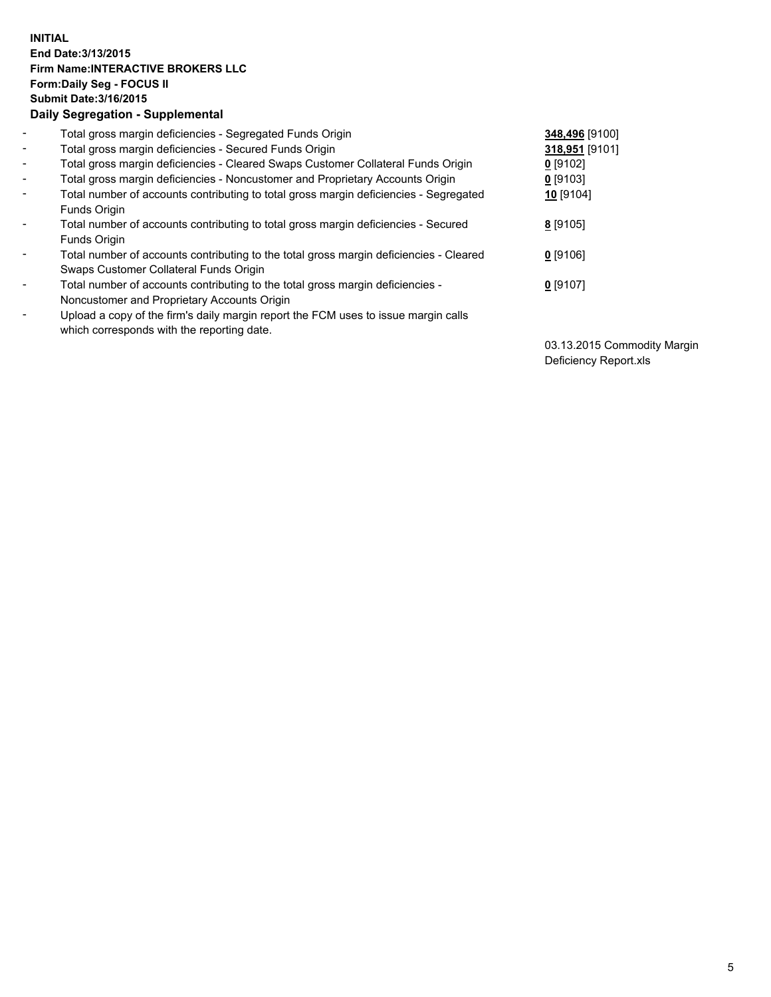## **INITIAL End Date:3/13/2015 Firm Name:INTERACTIVE BROKERS LLC Form:Daily Seg - FOCUS II Submit Date:3/16/2015 Daily Segregation - Supplemental**

| $\blacksquare$           | Total gross margin deficiencies - Segregated Funds Origin                              | 348,496 [9100] |
|--------------------------|----------------------------------------------------------------------------------------|----------------|
| $\blacksquare$           | Total gross margin deficiencies - Secured Funds Origin                                 | 318,951 [9101] |
| $\blacksquare$           | Total gross margin deficiencies - Cleared Swaps Customer Collateral Funds Origin       | $0$ [9102]     |
| $\blacksquare$           | Total gross margin deficiencies - Noncustomer and Proprietary Accounts Origin          | $0$ [9103]     |
| $\blacksquare$           | Total number of accounts contributing to total gross margin deficiencies - Segregated  | 10 [9104]      |
|                          | Funds Origin                                                                           |                |
| $\blacksquare$           | Total number of accounts contributing to total gross margin deficiencies - Secured     | 8 [9105]       |
|                          | Funds Origin                                                                           |                |
| $\blacksquare$           | Total number of accounts contributing to the total gross margin deficiencies - Cleared | $0$ [9106]     |
|                          | Swaps Customer Collateral Funds Origin                                                 |                |
| $\overline{\phantom{a}}$ | Total number of accounts contributing to the total gross margin deficiencies -         | $0$ [9107]     |
|                          | Noncustomer and Proprietary Accounts Origin                                            |                |
| $\overline{\phantom{a}}$ | Upload a copy of the firm's daily margin report the FCM uses to issue margin calls     |                |
|                          | which corresponds with the reporting date.                                             |                |

03.13.2015 Commodity Margin Deficiency Report.xls